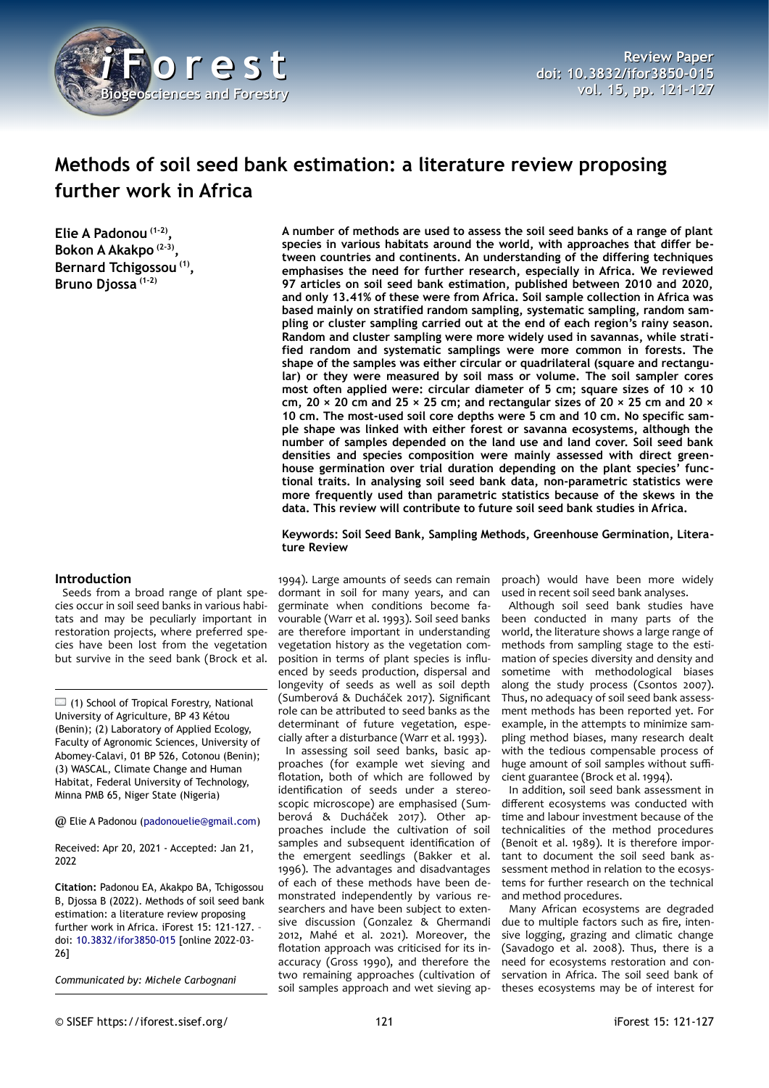

# **Methods of soil seed bank estimation: a literature review proposing further work in Africa**

**Elie A Padonou (1-2) , Bokon A Akakpo (2-3) , Bernard Tchigossou (1) , Bruno Djossa (1-2)**

# **Introduction**

Seeds from a broad range of plant species occur in soil seed banks in various habitats and may be peculiarly important in restoration projects, where preferred species have been lost from the vegetation but survive in the seed bank (Brock et al.

 $\Box$  (1) School of Tropical Forestry, National University of Agriculture, BP 43 Kétou (Benin); (2) Laboratory of Applied Ecology, Faculty of Agronomic Sciences, University of Abomey-Calavi, 01 BP 526, Cotonou (Benin); (3) WASCAL, Climate Change and Human Habitat, Federal University of Technology, Minna PMB 65, Niger State (Nigeria)

@ Elie A Padonou [\(padonouelie@gmail.com\)](mailto:padonouelie@gmail.com)

Received: Apr 20, 2021 - Accepted: Jan 21, 2022

**Citation:** Padonou EA, Akakpo BA, Tchigossou B, Djossa B (2022). Methods of soil seed bank estimation: a literature review proposing further work in Africa. iForest 15: 121-127. doi: [10.3832/ifor3850-015](http://www.sisef.it/iforest/contents/?id=ifor3850-015) [online 2022-03- 26]

*Communicated by: Michele Carbognani*

**A number of methods are used to assess the soil seed banks of a range of plant species in various habitats around the world, with approaches that differ between countries and continents. An understanding of the differing techniques emphasises the need for further research, especially in Africa. We reviewed 97 articles on soil seed bank estimation, published between 2010 and 2020, and only 13.41% of these were from Africa. Soil sample collection in Africa was based mainly on stratified random sampling, systematic sampling, random sampling or cluster sampling carried out at the end of each region's rainy season. Random and cluster sampling were more widely used in savannas, while stratified random and systematic samplings were more common in forests. The shape of the samples was either circular or quadrilateral (square and rectangular) or they were measured by soil mass or volume. The soil sampler cores most often applied were: circular diameter of 5 cm; square sizes of 10 × 10 cm, 20 × 20 cm and 25 × 25 cm; and rectangular sizes of 20 × 25 cm and 20 × 10 cm. The most-used soil core depths were 5 cm and 10 cm. No specific sample shape was linked with either forest or savanna ecosystems, although the number of samples depended on the land use and land cover. Soil seed bank densities and species composition were mainly assessed with direct greenhouse germination over trial duration depending on the plant species' functional traits. In analysing soil seed bank data, non-parametric statistics were more frequently used than parametric statistics because of the skews in the data. This review will contribute to future soil seed bank studies in Africa.**

**Keywords: Soil Seed Bank, Sampling Methods, Greenhouse Germination, Literature Review**

1994). Large amounts of seeds can remain dormant in soil for many years, and can germinate when conditions become favourable (Warr et al. 1993). Soil seed banks are therefore important in understanding vegetation history as the vegetation composition in terms of plant species is influenced by seeds production, dispersal and longevity of seeds as well as soil depth (Sumberová & Ducháček 2017). Significant role can be attributed to seed banks as the determinant of future vegetation, especially after a disturbance (Warr et al. 1993).

In assessing soil seed banks, basic approaches (for example wet sieving and flotation, both of which are followed by identification of seeds under a stereoscopic microscope) are emphasised (Sumberová & Ducháček 2017). Other approaches include the cultivation of soil samples and subsequent identification of the emergent seedlings (Bakker et al. 1996). The advantages and disadvantages of each of these methods have been demonstrated independently by various researchers and have been subject to extensive discussion (Gonzalez & Ghermandi 2012, Mahé et al. 2021). Moreover, the flotation approach was criticised for its inaccuracy (Gross 1990), and therefore the two remaining approaches (cultivation of soil samples approach and wet sieving approach) would have been more widely used in recent soil seed bank analyses.

Although soil seed bank studies have been conducted in many parts of the world, the literature shows a large range of methods from sampling stage to the estimation of species diversity and density and sometime with methodological biases along the study process (Csontos 2007). Thus, no adequacy of soil seed bank assessment methods has been reported yet. For example, in the attempts to minimize sampling method biases, many research dealt with the tedious compensable process of huge amount of soil samples without sufficient guarantee (Brock et al. 1994).

In addition, soil seed bank assessment in different ecosystems was conducted with time and labour investment because of the technicalities of the method procedures (Benoit et al. 1989). It is therefore important to document the soil seed bank assessment method in relation to the ecosystems for further research on the technical and method procedures.

Many African ecosystems are degraded due to multiple factors such as fire, intensive logging, grazing and climatic change (Savadogo et al. 2008). Thus, there is a need for ecosystems restoration and conservation in Africa. The soil seed bank of theses ecosystems may be of interest for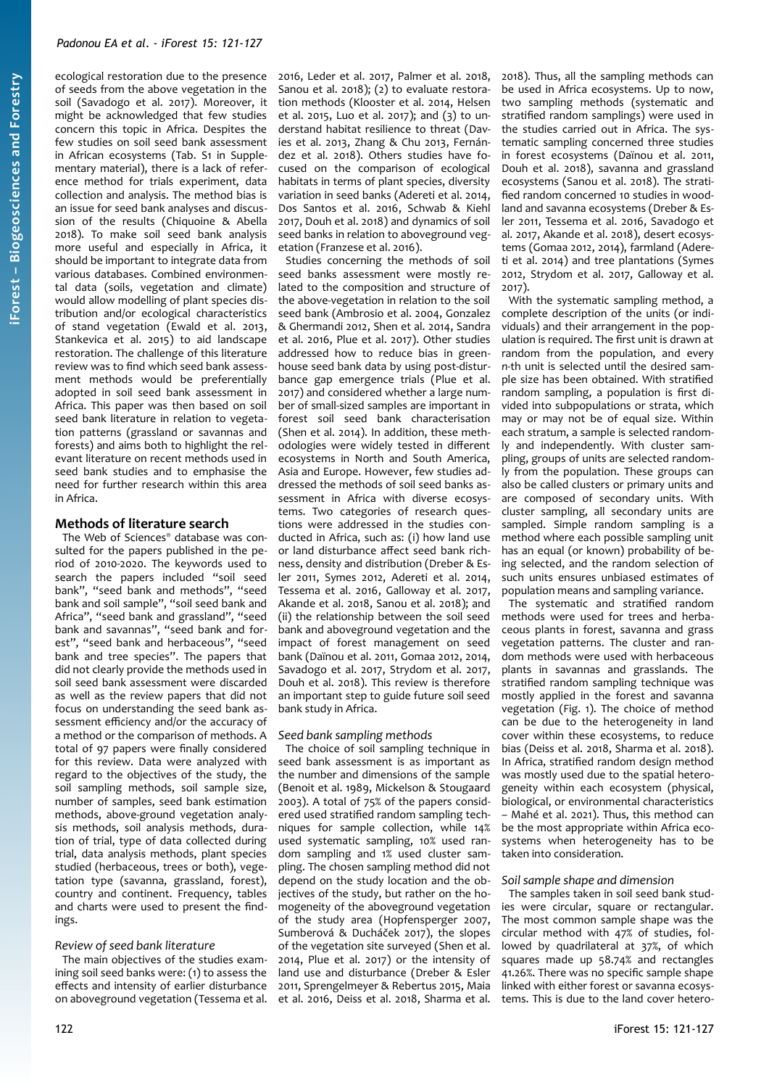ecological restoration due to the presence of seeds from the above vegetation in the soil (Savadogo et al. 2017). Moreover, it might be acknowledged that few studies concern this topic in Africa. Despites the few studies on soil seed bank assessment in African ecosystems (Tab. S1 in Supplementary material), there is a lack of reference method for trials experiment, data collection and analysis. The method bias is an issue for seed bank analyses and discussion of the results (Chiquoine & Abella 2018). To make soil seed bank analysis more useful and especially in Africa, it should be important to integrate data from various databases. Combined environmental data (soils, vegetation and climate) would allow modelling of plant species distribution and/or ecological characteristics of stand vegetation (Ewald et al. 2013, Stankevica et al. 2015) to aid landscape restoration. The challenge of this literature review was to find which seed bank assessment methods would be preferentially adopted in soil seed bank assessment in Africa. This paper was then based on soil seed bank literature in relation to vegetation patterns (grassland or savannas and forests) and aims both to highlight the relevant literature on recent methods used in seed bank studies and to emphasise the need for further research within this area in Africa.

# **Methods of literature search**

The Web of Sciences® database was consulted for the papers published in the period of 2010-2020. The keywords used to search the papers included "soil seed bank", "seed bank and methods", "seed bank and soil sample", "soil seed bank and Africa", "seed bank and grassland", "seed bank and savannas", "seed bank and forest", "seed bank and herbaceous", "seed bank and tree species". The papers that did not clearly provide the methods used in soil seed bank assessment were discarded as well as the review papers that did not focus on understanding the seed bank assessment efficiency and/or the accuracy of a method or the comparison of methods. A total of 97 papers were finally considered for this review. Data were analyzed with regard to the objectives of the study, the soil sampling methods, soil sample size, number of samples, seed bank estimation methods, above-ground vegetation analysis methods, soil analysis methods, duration of trial, type of data collected during trial, data analysis methods, plant species studied (herbaceous, trees or both), vegetation type (savanna, grassland, forest), country and continent. Frequency, tables and charts were used to present the findings.

# *Review of seed bank literature*

The main objectives of the studies examining soil seed banks were: (1) to assess the effects and intensity of earlier disturbance on aboveground vegetation (Tessema et al. 2016, Leder et al. 2017, Palmer et al. 2018, Sanou et al. 2018); (2) to evaluate restoration methods (Klooster et al. 2014, Helsen et al. 2015, Luo et al. 2017); and (3) to understand habitat resilience to threat (Davies et al. 2013, Zhang & Chu 2013, Fernández et al. 2018). Others studies have focused on the comparison of ecological habitats in terms of plant species, diversity variation in seed banks (Adereti et al. 2014, Dos Santos et al. 2016, Schwab & Kiehl 2017, Douh et al. 2018) and dynamics of soil seed banks in relation to aboveground vegetation (Franzese et al. 2016).

Studies concerning the methods of soil seed banks assessment were mostly related to the composition and structure of the above-vegetation in relation to the soil seed bank (Ambrosio et al. 2004, Gonzalez & Ghermandi 2012, Shen et al. 2014, Sandra et al. 2016, Plue et al. 2017). Other studies addressed how to reduce bias in greenhouse seed bank data by using post-disturbance gap emergence trials (Plue et al. 2017) and considered whether a large number of small-sized samples are important in forest soil seed bank characterisation (Shen et al. 2014). In addition, these methodologies were widely tested in different ecosystems in North and South America, Asia and Europe. However, few studies addressed the methods of soil seed banks assessment in Africa with diverse ecosystems. Two categories of research questions were addressed in the studies conducted in Africa, such as: (i) how land use or land disturbance affect seed bank richness, density and distribution (Dreber & Esler 2011, Symes 2012, Adereti et al. 2014, Tessema et al. 2016, Galloway et al. 2017, Akande et al. 2018, Sanou et al. 2018); and (ii) the relationship between the soil seed bank and aboveground vegetation and the impact of forest management on seed bank (Daïnou et al. 2011, Gomaa 2012, 2014, Savadogo et al. 2017, Strydom et al. 2017, Douh et al. 2018). This review is therefore an important step to guide future soil seed bank study in Africa.

# *Seed bank sampling methods*

The choice of soil sampling technique in seed bank assessment is as important as the number and dimensions of the sample (Benoit et al. 1989, Mickelson & Stougaard 2003). A total of 75% of the papers considered used stratified random sampling techniques for sample collection, while 14% used systematic sampling, 10% used random sampling and 1% used cluster sampling. The chosen sampling method did not depend on the study location and the objectives of the study, but rather on the homogeneity of the aboveground vegetation of the study area (Hopfensperger 2007, Sumberová & Ducháček 2017), the slopes of the vegetation site surveyed (Shen et al. 2014, Plue et al. 2017) or the intensity of land use and disturbance (Dreber & Esler 2011, Sprengelmeyer & Rebertus 2015, Maia et al. 2016, Deiss et al. 2018, Sharma et al.

2018). Thus, all the sampling methods can be used in Africa ecosystems. Up to now, two sampling methods (systematic and stratified random samplings) were used in the studies carried out in Africa. The systematic sampling concerned three studies in forest ecosystems (Daïnou et al. 2011, Douh et al. 2018), savanna and grassland ecosystems (Sanou et al. 2018). The stratified random concerned 10 studies in woodland and savanna ecosystems (Dreber & Esler 2011, Tessema et al. 2016, Savadogo et al. 2017, Akande et al. 2018), desert ecosystems (Gomaa 2012, 2014), farmland (Adereti et al. 2014) and tree plantations (Symes 2012, Strydom et al. 2017, Galloway et al. 2017).

With the systematic sampling method, a complete description of the units (or individuals) and their arrangement in the population is required. The first unit is drawn at random from the population, and every *n-*th unit is selected until the desired sample size has been obtained. With stratified random sampling, a population is first divided into subpopulations or strata, which may or may not be of equal size. Within each stratum, a sample is selected randomly and independently. With cluster sampling, groups of units are selected randomly from the population. These groups can also be called clusters or primary units and are composed of secondary units. With cluster sampling, all secondary units are sampled. Simple random sampling is a method where each possible sampling unit has an equal (or known) probability of being selected, and the random selection of such units ensures unbiased estimates of population means and sampling variance.

The systematic and stratified random methods were used for trees and herbaceous plants in forest, savanna and grass vegetation patterns. The cluster and random methods were used with herbaceous plants in savannas and grasslands. The stratified random sampling technique was mostly applied in the forest and savanna vegetation [\(Fig. 1](#page-2-0)). The choice of method can be due to the heterogeneity in land cover within these ecosystems, to reduce bias (Deiss et al. 2018, Sharma et al. 2018). In Africa, stratified random design method was mostly used due to the spatial heterogeneity within each ecosystem (physical, biological, or environmental characteristics – Mahé et al. 2021). Thus, this method can be the most appropriate within Africa ecosystems when heterogeneity has to be taken into consideration.

# *Soil sample shape and dimension*

The samples taken in soil seed bank studies were circular, square or rectangular. The most common sample shape was the circular method with 47% of studies, followed by quadrilateral at 37%, of which squares made up 58.74% and rectangles 41.26%. There was no specific sample shape linked with either forest or savanna ecosystems. This is due to the land cover hetero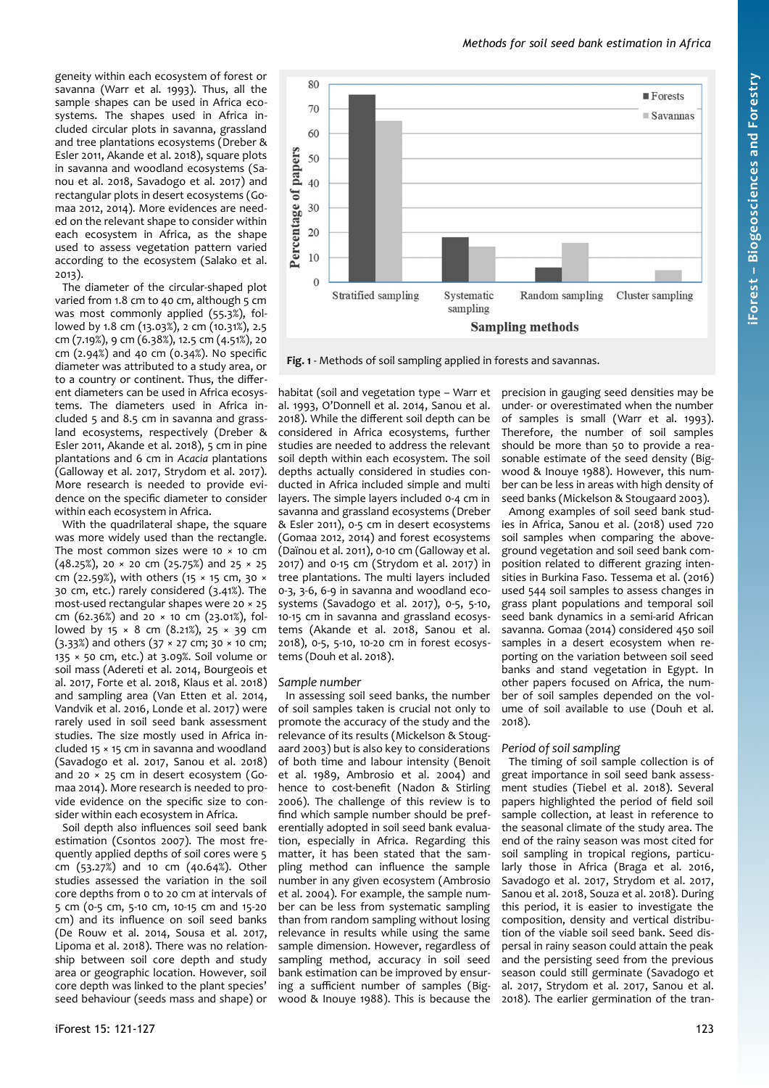geneity within each ecosystem of forest or savanna (Warr et al. 1993). Thus, all the sample shapes can be used in Africa ecosystems. The shapes used in Africa included circular plots in savanna, grassland and tree plantations ecosystems (Dreber & Esler 2011, Akande et al. 2018), square plots in savanna and woodland ecosystems (Sanou et al. 2018, Savadogo et al. 2017) and rectangular plots in desert ecosystems (Gomaa 2012, 2014). More evidences are needed on the relevant shape to consider within each ecosystem in Africa, as the shape used to assess vegetation pattern varied according to the ecosystem (Salako et al. 2013).

The diameter of the circular-shaped plot varied from 1.8 cm to 40 cm, although 5 cm was most commonly applied (55.3%), followed by 1.8 cm (13.03%), 2 cm (10.31%), 2.5 cm (7.19%), 9 cm (6.38%), 12.5 cm (4.51%), 20 cm (2.94%) and 40 cm (0.34%). No specific diameter was attributed to a study area, or to a country or continent. Thus, the different diameters can be used in Africa ecosystems. The diameters used in Africa included 5 and 8.5 cm in savanna and grassland ecosystems, respectively (Dreber & Esler 2011, Akande et al. 2018), 5 cm in pine plantations and 6 cm in *Acacia* plantations (Galloway et al. 2017, Strydom et al. 2017). More research is needed to provide evidence on the specific diameter to consider within each ecosystem in Africa.

With the quadrilateral shape, the square was more widely used than the rectangle. The most common sizes were 10  $\times$  10 cm (48.25%), 20  $\times$  20 cm (25.75%) and 25  $\times$  25 cm (22.59%), with others (15 × 15 cm, 30 × 30 cm, etc.) rarely considered (3.41%). The most-used rectangular shapes were 20 × 25 cm (62.36%) and 20 × 10 cm (23.01%), followed by 15  $\times$  8 cm (8.21%), 25  $\times$  39 cm (3.33%) and others (37 × 27 cm; 30 × 10 cm; 135 × 50 cm, etc.) at 3.09%. Soil volume or soil mass (Adereti et al. 2014, Bourgeois et al. 2017, Forte et al. 2018, Klaus et al. 2018) and sampling area (Van Etten et al. 2014, Vandvik et al. 2016, Londe et al. 2017) were rarely used in soil seed bank assessment studies. The size mostly used in Africa included 15 × 15 cm in savanna and woodland (Savadogo et al. 2017, Sanou et al. 2018) and 20 × 25 cm in desert ecosystem (Gomaa 2014). More research is needed to provide evidence on the specific size to consider within each ecosystem in Africa.

Soil depth also influences soil seed bank estimation (Csontos 2007). The most frequently applied depths of soil cores were 5 cm (53.27%) and 10 cm (40.64%). Other studies assessed the variation in the soil core depths from 0 to 20 cm at intervals of 5 cm (0-5 cm, 5-10 cm, 10-15 cm and 15-20 cm) and its influence on soil seed banks (De Rouw et al. 2014, Sousa et al. 2017, Lipoma et al. 2018). There was no relationship between soil core depth and study area or geographic location. However, soil core depth was linked to the plant species' seed behaviour (seeds mass and shape) or habitat (soil and vegetation type – Warr et al. 1993, O'Donnell et al. 2014, Sanou et al. 2018). While the different soil depth can be considered in Africa ecosystems, further studies are needed to address the relevant soil depth within each ecosystem. The soil depths actually considered in studies conducted in Africa included simple and multi layers. The simple layers included 0-4 cm in savanna and grassland ecosystems (Dreber & Esler 2011), 0-5 cm in desert ecosystems (Gomaa 2012, 2014) and forest ecosystems (Daïnou et al. 2011), 0-10 cm (Galloway et al. 2017) and 0-15 cm (Strydom et al. 2017) in tree plantations. The multi layers included 0-3, 3-6, 6-9 in savanna and woodland ecosystems (Savadogo et al. 2017), 0-5, 5-10, 10-15 cm in savanna and grassland ecosystems (Akande et al. 2018, Sanou et al. 2018), 0-5, 5-10, 10-20 cm in forest ecosystems (Douh et al. 2018).

#### *Sample number*

In assessing soil seed banks, the number of soil samples taken is crucial not only to promote the accuracy of the study and the relevance of its results (Mickelson & Stougaard 2003) but is also key to considerations of both time and labour intensity (Benoit et al. 1989, Ambrosio et al. 2004) and hence to cost-benefit (Nadon & Stirling 2006). The challenge of this review is to find which sample number should be preferentially adopted in soil seed bank evaluation, especially in Africa. Regarding this matter, it has been stated that the sampling method can influence the sample number in any given ecosystem (Ambrosio et al. 2004). For example, the sample number can be less from systematic sampling than from random sampling without losing relevance in results while using the same sample dimension. However, regardless of sampling method, accuracy in soil seed bank estimation can be improved by ensuring a sufficient number of samples (Bigwood & Inouye 1988). This is because the

precision in gauging seed densities may be under- or overestimated when the number of samples is small (Warr et al. 1993). Therefore, the number of soil samples should be more than 50 to provide a reasonable estimate of the seed density (Bigwood & Inouye 1988). However, this number can be less in areas with high density of seed banks (Mickelson & Stougaard 2003).

Among examples of soil seed bank studies in Africa, Sanou et al. (2018) used 720 soil samples when comparing the aboveground vegetation and soil seed bank composition related to different grazing intensities in Burkina Faso. Tessema et al. (2016) used 544 soil samples to assess changes in grass plant populations and temporal soil seed bank dynamics in a semi-arid African savanna. Gomaa (2014) considered 450 soil samples in a desert ecosystem when reporting on the variation between soil seed banks and stand vegetation in Egypt. In other papers focused on Africa, the number of soil samples depended on the volume of soil available to use (Douh et al. 2018).

# *Period of soil sampling*

The timing of soil sample collection is of great importance in soil seed bank assessment studies (Tiebel et al. 2018). Several papers highlighted the period of field soil sample collection, at least in reference to the seasonal climate of the study area. The end of the rainy season was most cited for soil sampling in tropical regions, particularly those in Africa (Braga et al. 2016, Savadogo et al. 2017, Strydom et al. 2017, Sanou et al. 2018, Souza et al. 2018). During this period, it is easier to investigate the composition, density and vertical distribution of the viable soil seed bank. Seed dispersal in rainy season could attain the peak and the persisting seed from the previous season could still germinate (Savadogo et al. 2017, Strydom et al. 2017, Sanou et al. 2018). The earlier germination of the tran-



<span id="page-2-0"></span>**Fig. 1** - Methods of soil sampling applied in forests and savannas.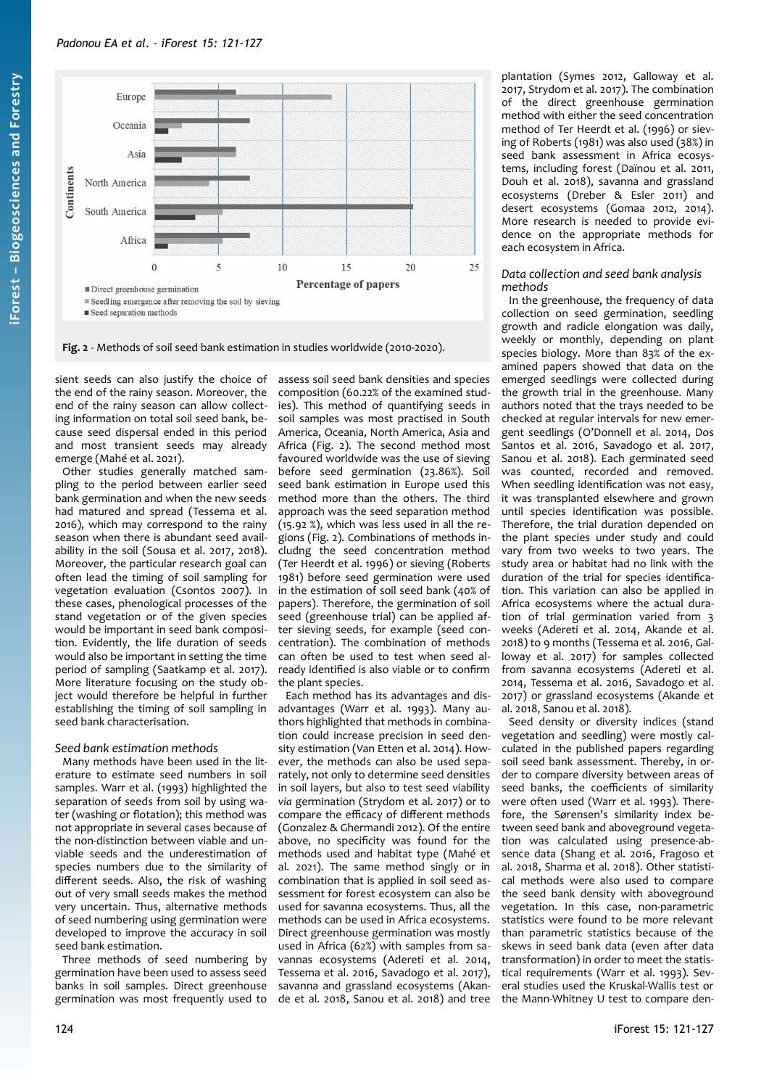

<span id="page-3-0"></span>**Fig. 2** - Methods of soil seed bank estimation in studies worldwide (2010-2020).

sient seeds can also justify the choice of the end of the rainy season. Moreover, the end of the rainy season can allow collecting information on total soil seed bank, because seed dispersal ended in this period and most transient seeds may already emerge (Mahé et al. 2021).

Other studies generally matched sampling to the period between earlier seed bank germination and when the new seeds had matured and spread (Tessema et al. 2016), which may correspond to the rainy season when there is abundant seed availability in the soil (Sousa et al. 2017, 2018). Moreover, the particular research goal can often lead the timing of soil sampling for vegetation evaluation (Csontos 2007). In these cases, phenological processes of the stand vegetation or of the given species would be important in seed bank composition. Evidently, the life duration of seeds would also be important in setting the time period of sampling (Saatkamp et al. 2017). More literature focusing on the study object would therefore be helpful in further establishing the timing of soil sampling in seed bank characterisation.

# *Seed bank estimation methods*

Many methods have been used in the literature to estimate seed numbers in soil samples. Warr et al. (1993) highlighted the separation of seeds from soil by using water (washing or flotation); this method was not appropriate in several cases because of the non-distinction between viable and unviable seeds and the underestimation of species numbers due to the similarity of different seeds. Also, the risk of washing out of very small seeds makes the method very uncertain. Thus, alternative methods of seed numbering using germination were developed to improve the accuracy in soil seed bank estimation.

Three methods of seed numbering by germination have been used to assess seed banks in soil samples. Direct greenhouse germination was most frequently used to assess soil seed bank densities and species composition (60.22% of the examined studies). This method of quantifying seeds in soil samples was most practised in South America, Oceania, North America, Asia and Africa [\(Fig. 2\)](#page-3-0). The second method most favoured worldwide was the use of sieving before seed germination (23.86%). Soil seed bank estimation in Europe used this method more than the others. The third approach was the seed separation method (15.92 %), which was less used in all the regions [\(Fig. 2](#page-3-0)). Combinations of methods includng the seed concentration method (Ter Heerdt et al. 1996) or sieving (Roberts 1981) before seed germination were used in the estimation of soil seed bank (40% of papers). Therefore, the germination of soil seed (greenhouse trial) can be applied after sieving seeds, for example (seed concentration). The combination of methods can often be used to test when seed already identified is also viable or to confirm the plant species.

Each method has its advantages and disadvantages (Warr et al. 1993). Many authors highlighted that methods in combination could increase precision in seed density estimation (Van Etten et al. 2014). However, the methods can also be used separately, not only to determine seed densities in soil layers, but also to test seed viability *via* germination (Strydom et al. 2017) or to compare the efficacy of different methods (Gonzalez & Ghermandi 2012). Of the entire above, no specificity was found for the methods used and habitat type (Mahé et al. 2021). The same method singly or in combination that is applied in soil seed assessment for forest ecosystem can also be used for savanna ecosystems. Thus, all the methods can be used in Africa ecosystems. Direct greenhouse germination was mostly used in Africa (62%) with samples from savannas ecosystems (Adereti et al. 2014, Tessema et al. 2016, Savadogo et al. 2017), savanna and grassland ecosystems (Akande et al. 2018, Sanou et al. 2018) and tree

plantation (Symes 2012, Galloway et al. 2017, Strydom et al. 2017). The combination of the direct greenhouse germination method with either the seed concentration method of Ter Heerdt et al. (1996) or sieving of Roberts (1981) was also used (38%) in seed bank assessment in Africa ecosystems, including forest (Daïnou et al. 2011, Douh et al. 2018), savanna and grassland ecosystems (Dreber & Esler 2011) and desert ecosystems (Gomaa 2012, 2014). More research is needed to provide evidence on the appropriate methods for each ecosystem in Africa.

#### *Data collection and seed bank analysis methods*

In the greenhouse, the frequency of data collection on seed germination, seedling growth and radicle elongation was daily, weekly or monthly, depending on plant species biology. More than 83% of the examined papers showed that data on the emerged seedlings were collected during the growth trial in the greenhouse. Many authors noted that the trays needed to be checked at regular intervals for new emergent seedlings (O'Donnell et al. 2014, Dos Santos et al. 2016, Savadogo et al. 2017, Sanou et al. 2018). Each germinated seed was counted, recorded and removed. When seedling identification was not easy, it was transplanted elsewhere and grown until species identification was possible. Therefore, the trial duration depended on the plant species under study and could vary from two weeks to two years. The study area or habitat had no link with the duration of the trial for species identification. This variation can also be applied in Africa ecosystems where the actual duration of trial germination varied from 3 weeks (Adereti et al. 2014, Akande et al. 2018) to 9 months (Tessema et al. 2016, Galloway et al. 2017) for samples collected from savanna ecosystems (Adereti et al. 2014, Tessema et al. 2016, Savadogo et al. 2017) or grassland ecosystems (Akande et al. 2018, Sanou et al. 2018).

Seed density or diversity indices (stand vegetation and seedling) were mostly calculated in the published papers regarding soil seed bank assessment. Thereby, in order to compare diversity between areas of seed banks, the coefficients of similarity were often used (Warr et al. 1993). Therefore, the Sørensen's similarity index between seed bank and aboveground vegetation was calculated using presence-absence data (Shang et al. 2016, Fragoso et al. 2018, Sharma et al. 2018). Other statistical methods were also used to compare the seed bank density with aboveground vegetation. In this case, non-parametric statistics were found to be more relevant than parametric statistics because of the skews in seed bank data (even after data transformation) in order to meet the statistical requirements (Warr et al. 1993). Several studies used the Kruskal-Wallis test or the Mann-Whitney U test to compare den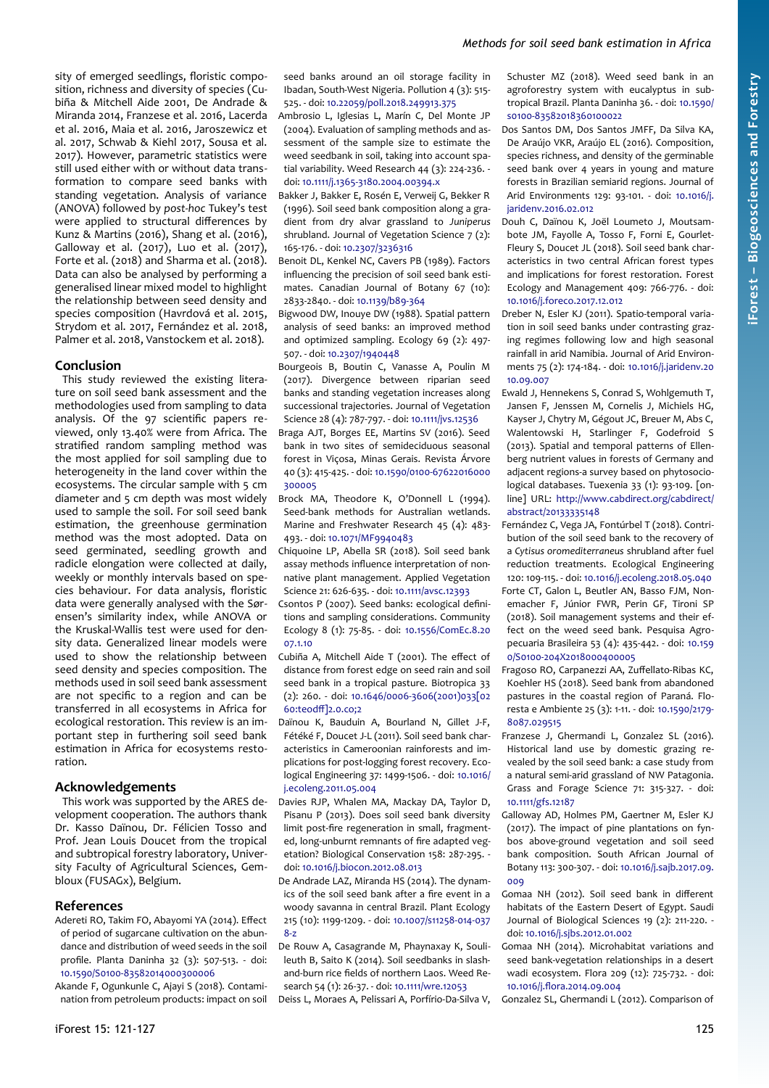sity of emerged seedlings, floristic composition, richness and diversity of species (Cubiña & Mitchell Aide 2001, De Andrade & Miranda 2014, Franzese et al. 2016, Lacerda et al. 2016, Maia et al. 2016, Jaroszewicz et al. 2017, Schwab & Kiehl 2017, Sousa et al. 2017). However, parametric statistics were still used either with or without data transformation to compare seed banks with standing vegetation. Analysis of variance (ANOVA) followed by *post-hoc* Tukey's test were applied to structural differences by Kunz & Martins (2016), Shang et al. (2016), Galloway et al. (2017), Luo et al. (2017), Forte et al. (2018) and Sharma et al. (2018). Data can also be analysed by performing a generalised linear mixed model to highlight the relationship between seed density and species composition (Havrdová et al. 2015, Strydom et al. 2017, Fernández et al. 2018, Palmer et al. 2018, Vanstockem et al. 2018).

# **Conclusion**

This study reviewed the existing literature on soil seed bank assessment and the methodologies used from sampling to data analysis. Of the 97 scientific papers reviewed, only 13.40% were from Africa. The stratified random sampling method was the most applied for soil sampling due to heterogeneity in the land cover within the ecosystems. The circular sample with 5 cm diameter and 5 cm depth was most widely used to sample the soil. For soil seed bank estimation, the greenhouse germination method was the most adopted. Data on seed germinated, seedling growth and radicle elongation were collected at daily, weekly or monthly intervals based on species behaviour. For data analysis, floristic data were generally analysed with the Sørensen's similarity index, while ANOVA or the Kruskal-Wallis test were used for density data. Generalized linear models were used to show the relationship between seed density and species composition. The methods used in soil seed bank assessment are not specific to a region and can be transferred in all ecosystems in Africa for ecological restoration. This review is an important step in furthering soil seed bank estimation in Africa for ecosystems restoration.

# **Acknowledgements**

This work was supported by the ARES development cooperation. The authors thank Dr. Kasso Daïnou, Dr. Félicien Tosso and Prof. Jean Louis Doucet from the tropical and subtropical forestry laboratory, University Faculty of Agricultural Sciences, Gembloux (FUSAGx), Belgium.

# **References**

- Adereti RO, Takim FO, Abayomi YA (2014). Effect of period of sugarcane cultivation on the abundance and distribution of weed seeds in the soil profile. Planta Daninha 32 (3): 507-513. - doi: [10.1590/S0100-83582014000300006](https://doi.org/10.1590/S0100-83582014000300006)
- Akande F, Ogunkunle C, Ajayi S (2018). Contamination from petroleum products: impact on soil

seed banks around an oil storage facility in Ibadan, South-West Nigeria. Pollution 4 (3): 515- 525. - doi: [10.22059/poll.2018.249913.375](https://10.22059/poll.2018.249913.375)

- Ambrosio L, Iglesias L, Marín C, Del Monte JP (2004). Evaluation of sampling methods and assessment of the sample size to estimate the weed seedbank in soil, taking into account spatial variability. Weed Research 44 (3): 224-236. doi: [10.1111/j.1365-3180.2004.00394.x](https://doi.org/10.1111/j.1365-3180.2004.00394.x)
- Bakker J, Bakker E, Rosén E, Verweij G, Bekker R (1996). Soil seed bank composition along a gradient from dry alvar grassland to *Juniperus* shrubland. Journal of Vegetation Science 7 (2): 165-176. - doi: [10.2307/3236316](https://doi.org/10.2307/3236316)
- Benoit DL, Kenkel NC, Cavers PB (1989). Factors influencing the precision of soil seed bank estimates. Canadian Journal of Botany 67 (10): 2833-2840. - doi: [10.1139/b89-364](https://doi.org/10.1139/b89-364)
- Bigwood DW, Inouye DW (1988). Spatial pattern analysis of seed banks: an improved method and optimized sampling. Ecology 69 (2): 497- 507. - doi: [10.2307/1940448](https://doi.org/10.2307/1940448)
- Bourgeois B, Boutin C, Vanasse A, Poulin M (2017). Divergence between riparian seed banks and standing vegetation increases along successional trajectories. Journal of Vegetation Science 28 (4): 787-797. - doi: [10.1111/jvs.12536](https://doi.org/10.1111/jvs.12536)
- Braga AJT, Borges EE, Martins SV (2016). Seed bank in two sites of semideciduous seasonal forest in Viçosa, Minas Gerais. Revista Árvore 40 (3): 415-425. - doi: [10.1590/0100-67622016000](https://doi.org/10.1590/0100-67622016000300005) [300005](https://doi.org/10.1590/0100-67622016000300005)
- Brock MA, Theodore K, O'Donnell L (1994). Seed-bank methods for Australian wetlands. Marine and Freshwater Research 45 (4): 483- 493. - doi: [10.1071/MF9940483](https://doi.org/10.1071/MF9940483)
- Chiquoine LP, Abella SR (2018). Soil seed bank assay methods influence interpretation of nonnative plant management. Applied Vegetation Science 21: 626-635. - doi: [10.1111/avsc.12393](https://doi.org/10.1111/avsc.12393)
- Csontos P (2007). Seed banks: ecological definitions and sampling considerations. Community Ecology 8 (1): 75-85. - doi: [10.1556/ComEc.8.20](https://doi.org/10.1556/ComEc.8.2007.1.10) [07.1.10](https://doi.org/10.1556/ComEc.8.2007.1.10)
- Cubiña A, Mitchell Aide T (2001). The effect of distance from forest edge on seed rain and soil seed bank in a tropical pasture. Biotropica 33 (2): 260. - doi: [10.1646/0006-3606\(2001\)033\[02](https://doi.org/10.1646/0006-3606(2001)033%5B0260:teodff%5D2.0.co;2) [60:teodff\]2.0.co;2](https://doi.org/10.1646/0006-3606(2001)033%5B0260:teodff%5D2.0.co;2)
- Daïnou K, Bauduin A, Bourland N, Gillet J-F, Fétéké F, Doucet J-L (2011). Soil seed bank characteristics in Cameroonian rainforests and implications for post-logging forest recovery. Ecological Engineering 37: 1499-1506. - doi: [10.1016/](https://doi.org/10.1016/j.ecoleng.2011.05.004) [j.ecoleng.2011.05.004](https://doi.org/10.1016/j.ecoleng.2011.05.004)
- Davies RJP, Whalen MA, Mackay DA, Taylor D, Pisanu P (2013). Does soil seed bank diversity limit post-fire regeneration in small, fragmented, long-unburnt remnants of fire adapted vegetation? Biological Conservation 158: 287-295. doi: [10.1016/j.biocon.2012.08.013](https://doi.org/10.1016/j.biocon.2012.08.013)
- De Andrade LAZ, Miranda HS (2014). The dynamics of the soil seed bank after a fire event in a woody savanna in central Brazil. Plant Ecology 215 (10): 1199-1209. - doi: [10.1007/s11258-014-037](https://doi.org/10.1007/s11258-014-0378-z) [8-z](https://doi.org/10.1007/s11258-014-0378-z)
- De Rouw A, Casagrande M, Phaynaxay K, Soulileuth B, Saito K (2014). Soil seedbanks in slashand-burn rice fields of northern Laos. Weed Research 54 (1): 26-37. - doi: [10.1111/wre.12053](https://doi.org/10.1111/wre.12053)

Deiss L, Moraes A, Pelissari A, Porfírio-Da-Silva V,

Schuster MZ (2018). Weed seed bank in an agroforestry system with eucalyptus in subtropical Brazil. Planta Daninha 36. - doi: [10.1590/](https://doi.org/10.1590/s0100-83582018360100022) [s0100-83582018360100022](https://doi.org/10.1590/s0100-83582018360100022)

Dos Santos DM, Dos Santos JMFF, Da Silva KA, De Araújo VKR, Araújo EL (2016). Composition, species richness, and density of the germinable seed bank over 4 years in young and mature forests in Brazilian semiarid regions. Journal of Arid Environments 129: 93-101. - doi: [10.1016/j.](https://doi.org/10.1016/j.jaridenv.2016.02.012) [jaridenv.2016.02.012](https://doi.org/10.1016/j.jaridenv.2016.02.012)

Douh C, Daïnou K, Joël Loumeto J, Moutsambote JM, Fayolle A, Tosso F, Forni E, Gourlet-Fleury S, Doucet JL (2018). Soil seed bank characteristics in two central African forest types and implications for forest restoration. Forest Ecology and Management 409: 766-776. - doi: [10.1016/j.foreco.2017.12.012](https://doi.org/10.1016/j.foreco.2017.12.012)

Dreber N, Esler KJ (2011). Spatio-temporal variation in soil seed banks under contrasting grazing regimes following low and high seasonal rainfall in arid Namibia. Journal of Arid Environments 75 (2): 174-184. - doi: [10.1016/j.jaridenv.20](https://doi.org/10.1016/j.jaridenv.2010.09.007) [10.09.007](https://doi.org/10.1016/j.jaridenv.2010.09.007)

- Ewald J, Hennekens S, Conrad S, Wohlgemuth T, Jansen F, Jenssen M, Cornelis J, Michiels HG, Kayser J, Chytry M, Gégout JC, Breuer M, Abs C, Walentowski H, Starlinger F, Godefroid S (2013). Spatial and temporal patterns of Ellenberg nutrient values in forests of Germany and adjacent regions-a survey based on phytosociological databases. Tuexenia 33 (1): 93-109. [online] URL: [http://www.cabdirect.org/cabdirect/](http://www.cabdirect.org/cabdirect/abstract/20133335148) [abstract/20133335148](http://www.cabdirect.org/cabdirect/abstract/20133335148)
- Fernández C, Vega JA, Fontúrbel T (2018). Contribution of the soil seed bank to the recovery of a *Cytisus oromediterraneus* shrubland after fuel reduction treatments. Ecological Engineering 120: 109-115. - doi: [10.1016/j.ecoleng.2018.05.040](https://doi.org/10.1016/j.ecoleng.2018.05.040) Forte CT, Galon L, Beutler AN, Basso FJM, Nonemacher F, Júnior FWR, Perin GF, Tironi SP (2018). Soil management systems and their effect on the weed seed bank. Pesquisa Agropecuaria Brasileira 53 (4): 435-442. - doi: [10.159](https://doi.org/10.1590/S0100-204X2018000400005) [0/S0100-204X2018000400005](https://doi.org/10.1590/S0100-204X2018000400005)
- Fragoso RO, Carpanezzi AA, Zuffellato-Ribas KC, Koehler HS (2018). Seed bank from abandoned pastures in the coastal region of Paraná. Floresta e Ambiente 25 (3): 1-11. - doi: [10.1590/2179-](https://doi.org/10.1590/2179-8087.029515) [8087.029515](https://doi.org/10.1590/2179-8087.029515)
- Franzese J, Ghermandi L, Gonzalez SL (2016). Historical land use by domestic grazing revealed by the soil seed bank: a case study from a natural semi-arid grassland of NW Patagonia. Grass and Forage Science 71: 315-327. - doi: [10.1111/gfs.12187](https://doi.org/10.1111/gfs.12187)
- Galloway AD, Holmes PM, Gaertner M, Esler KJ (2017). The impact of pine plantations on fynbos above-ground vegetation and soil seed bank composition. South African Journal of Botany 113: 300-307. - doi: [10.1016/j.sajb.2017.09.](https://doi.org/10.1016/j.sajb.2017.09.009) [009](https://doi.org/10.1016/j.sajb.2017.09.009)
- Gomaa NH (2012). Soil seed bank in different habitats of the Eastern Desert of Egypt. Saudi Journal of Biological Sciences 19 (2): 211-220. doi: [10.1016/j.sjbs.2012.01.002](https://doi.org/10.1016/j.sjbs.2012.01.002)
- Gomaa NH (2014). Microhabitat variations and seed bank-vegetation relationships in a desert wadi ecosystem. Flora 209 (12): 725-732. - doi: [10.1016/j.flora.2014.09.004](https://doi.org/10.1016/j.flora.2014.09.004)

Gonzalez SL, Ghermandi L (2012). Comparison of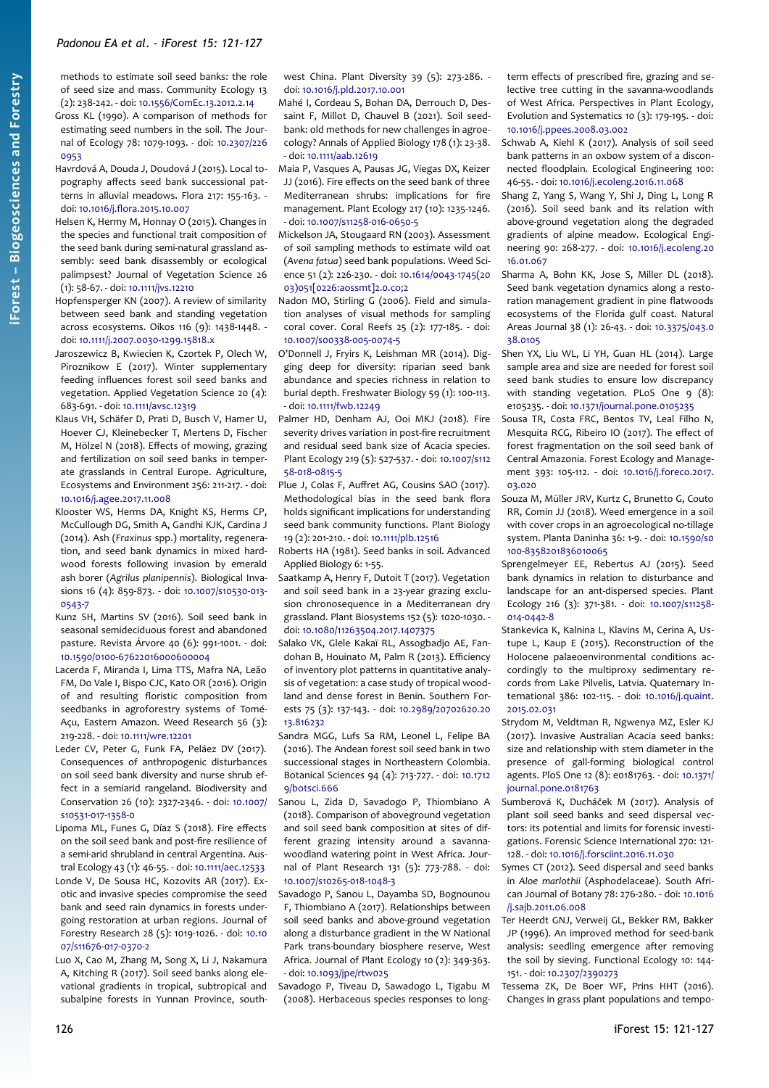methods to estimate soil seed banks: the role of seed size and mass. Community Ecology 13 (2): 238-242. - doi: [10.1556/ComEc.13.2012.2.14](https://doi.org/10.1556/ComEc.13.2012.2.14)

- Gross KL (1990). A comparison of methods for estimating seed numbers in the soil. The Journal of Ecology 78: 1079-1093. - doi: [10.2307/226](https://doi.org/10.2307/2260953) [0953](https://doi.org/10.2307/2260953)
- Havrdová A, Douda J, Doudová J (2015). Local topography affects seed bank successional patterns in alluvial meadows. Flora 217: 155-163. doi: [10.1016/j.flora.2015.10.007](https://doi.org/10.1016/j.flora.2015.10.007)
- Helsen K, Hermy M, Honnay O (2015). Changes in the species and functional trait composition of the seed bank during semi-natural grassland assembly: seed bank disassembly or ecological palimpsest? Journal of Vegetation Science 26 (1): 58-67. - doi: [10.1111/jvs.12210](https://doi.org/10.1111/jvs.12210)
- Hopfensperger KN (2007). A review of similarity between seed bank and standing vegetation across ecosystems. Oikos 116 (9): 1438-1448. doi: [10.1111/j.2007.0030-1299.15818.x](https://doi.org/10.1111/j.2007.0030-1299.15818.x)
- Jaroszewicz B, Kwiecien K, Czortek P, Olech W, Piroznikow E (2017). Winter supplementary feeding influences forest soil seed banks and vegetation. Applied Vegetation Science 20 (4): 683-691. - doi: [10.1111/avsc.12319](https://doi.org/10.1111/avsc.12319)
- Klaus VH, Schäfer D, Prati D, Busch V, Hamer U, Hoever CJ, Kleinebecker T, Mertens D, Fischer M, Hölzel N (2018). Effects of mowing, grazing and fertilization on soil seed banks in temperate grasslands in Central Europe. Agriculture, Ecosystems and Environment 256: 211-217. - doi: [10.1016/j.agee.2017.11.008](https://doi.org/10.1016/j.agee.2017.11.008)
- Klooster WS, Herms DA, Knight KS, Herms CP, McCullough DG, Smith A, Gandhi KJK, Cardina J (2014). Ash (*Fraxinus* spp.) mortality, regeneration, and seed bank dynamics in mixed hardwood forests following invasion by emerald ash borer (*Agrilus planipennis*). Biological Invasions 16 (4): 859-873. - doi: [10.1007/s10530-013-](https://doi.org/10.1007/s10530-013-0543-7) [0543-7](https://doi.org/10.1007/s10530-013-0543-7)
- Kunz SH, Martins SV (2016). Soil seed bank in seasonal semideciduous forest and abandoned pasture. Revista Árvore 40 (6): 991-1001. - doi: [10.1590/0100-67622016000600004](https://doi.org/10.1590/0100-67622016000600004)
- Lacerda F, Miranda I, Lima TTS, Mafra NA, Leão FM, Do Vale I, Bispo CJC, Kato OR (2016). Origin of and resulting floristic composition from seedbanks in agroforestry systems of Tomé-Açu, Eastern Amazon. Weed Research 56 (3): 219-228. - doi: [10.1111/wre.12201](https://doi.org/10.1111/wre.12201)
- Leder CV, Peter G, Funk FA, Peláez DV (2017). Consequences of anthropogenic disturbances on soil seed bank diversity and nurse shrub effect in a semiarid rangeland. Biodiversity and Conservation 26 (10): 2327-2346. - doi: [10.1007/](https://doi.org/10.1007/s10531-017-1358-0) [s10531-017-1358-0](https://doi.org/10.1007/s10531-017-1358-0)
- Lipoma ML, Funes G, Díaz S (2018). Fire effects on the soil seed bank and post-fire resilience of a semi-arid shrubland in central Argentina. Austral Ecology 43 (1): 46-55. - doi: [10.1111/aec.12533](https://doi.org/10.1111/aec.12533)
- Londe V, De Sousa HC, Kozovits AR (2017). Exotic and invasive species compromise the seed bank and seed rain dynamics in forests undergoing restoration at urban regions. Journal of Forestry Research 28 (5): 1019-1026. - doi: [10.10](https://doi.org/10.1007/s11676-017-0370-2) [07/s11676-017-0370-2](https://doi.org/10.1007/s11676-017-0370-2)
- Luo X, Cao M, Zhang M, Song X, Li J, Nakamura A, Kitching R (2017). Soil seed banks along elevational gradients in tropical, subtropical and subalpine forests in Yunnan Province, south-

west China. Plant Diversity 39 (5): 273-286. doi: [10.1016/j.pld.2017.10.001](https://doi.org/10.1016/j.pld.2017.10.001)

- Mahé I, Cordeau S, Bohan DA, Derrouch D, Dessaint F, Millot D, Chauvel B (2021). Soil seedbank: old methods for new challenges in agroecology? Annals of Applied Biology 178 (1): 23-38. - doi: [10.1111/aab.12619](https://doi.org/10.1111/aab.12619)
- Maia P, Vasques A, Pausas JG, Viegas DX, Keizer JJ (2016). Fire effects on the seed bank of three Mediterranean shrubs: implications for fire management. Plant Ecology 217 (10): 1235-1246. - doi: [10.1007/s11258-016-0650-5](https://doi.org/10.1007/s11258-016-0650-5)
- Mickelson JA, Stougaard RN (2003). Assessment of soil sampling methods to estimate wild oat (*Avena fatua*) seed bank populations. Weed Science 51 (2): 226-230. - doi: [10.1614/0043-1745\(20](https://doi.org/10.1614/0043-1745(2003)051%5B0226:aossmt%5D2.0.co;2) [03\)051\[0226:aossmt\]2.0.co;2](https://doi.org/10.1614/0043-1745(2003)051%5B0226:aossmt%5D2.0.co;2)
- Nadon MO, Stirling G (2006). Field and simulation analyses of visual methods for sampling coral cover. Coral Reefs 25 (2): 177-185. - doi: [10.1007/s00338-005-0074-5](https://doi.org/10.1007/s00338-005-0074-5)
- O'Donnell J, Fryirs K, Leishman MR (2014). Digging deep for diversity: riparian seed bank abundance and species richness in relation to burial depth. Freshwater Biology 59 (1): 100-113. - doi: [10.1111/fwb.12249](https://doi.org/10.1111/fwb.12249)
- Palmer HD, Denham AJ, Ooi MKJ (2018). Fire severity drives variation in post-fire recruitment and residual seed bank size of Acacia species. Plant Ecology 219 (5): 527-537. - doi: [10.1007/s112](https://doi.org/10.1007/s11258-018-0815-5) [58-018-0815-5](https://doi.org/10.1007/s11258-018-0815-5)
- Plue J, Colas F, Auffret AG, Cousins SAO (2017). Methodological bias in the seed bank flora holds significant implications for understanding seed bank community functions. Plant Biology 19 (2): 201-210. - doi: [10.1111/plb.12516](https://doi.org/10.1111/plb.12516)
- Roberts HA (1981). Seed banks in soil. Advanced Applied Biology 6: 1-55.
- Saatkamp A, Henry F, Dutoit T (2017). Vegetation and soil seed bank in a 23-year grazing exclusion chronosequence in a Mediterranean dry grassland. Plant Biosystems 152 (5): 1020-1030. doi: [10.1080/11263504.2017.1407375](https://doi.org/10.1080/11263504.2017.1407375)
- Salako VK, Glele Kakaï RL, Assogbadjo AE, Fandohan B, Houinato M, Palm R (2013). Efficiency of inventory plot patterns in quantitative analysis of vegetation: a case study of tropical woodland and dense forest in Benin. Southern Forests 75 (3): 137-143. - doi: [10.2989/20702620.20](https://doi.org/10.2989/20702620.2013.816232) [13.816232](https://doi.org/10.2989/20702620.2013.816232)
- Sandra MGG, Lufs Sa RM, Leonel L, Felipe BA (2016). The Andean forest soil seed bank in two successional stages in Northeastern Colombia. Botanical Sciences 94 (4): 713-727. - doi: [10.1712](https://doi.org/10.17129/botsci.666) [9/botsci.666](https://doi.org/10.17129/botsci.666)
- Sanou L, Zida D, Savadogo P, Thiombiano A (2018). Comparison of aboveground vegetation and soil seed bank composition at sites of different grazing intensity around a savannawoodland watering point in West Africa. Journal of Plant Research 131 (5): 773-788. - doi: [10.1007/s10265-018-1048-3](https://doi.org/10.1007/s10265-018-1048-3)
- Savadogo P, Sanou L, Dayamba SD, Bognounou F, Thiombiano A (2017). Relationships between soil seed banks and above-ground vegetation along a disturbance gradient in the W National Park trans-boundary biosphere reserve, West Africa. Journal of Plant Ecology 10 (2): 349-363. - doi: [10.1093/jpe/rtw025](https://doi.org/10.1093/jpe/rtw025)
- Savadogo P, Tiveau D, Sawadogo L, Tigabu M (2008). Herbaceous species responses to long-

term effects of prescribed fire, grazing and selective tree cutting in the savanna-woodlands of West Africa. Perspectives in Plant Ecology, Evolution and Systematics 10 (3): 179-195. - doi: [10.1016/j.ppees.2008.03.002](https://doi.org/10.1016/j.ppees.2008.03.002)

- Schwab A, Kiehl K (2017). Analysis of soil seed bank patterns in an oxbow system of a disconnected floodplain. Ecological Engineering 100: 46-55. - doi: [10.1016/j.ecoleng.2016.11.068](https://doi.org/10.1016/j.ecoleng.2016.11.068)
- Shang Z, Yang S, Wang Y, Shi J, Ding L, Long R (2016). Soil seed bank and its relation with above-ground vegetation along the degraded gradients of alpine meadow. Ecological Engineering 90: 268-277. - doi: [10.1016/j.ecoleng.20](https://doi.org/10.1016/j.ecoleng.2016.01.067) [16.01.067](https://doi.org/10.1016/j.ecoleng.2016.01.067)
- Sharma A, Bohn KK, Jose S, Miller DL (2018). Seed bank vegetation dynamics along a restoration management gradient in pine flatwoods ecosystems of the Florida gulf coast. Natural Areas Journal 38 (1): 26-43. - doi: [10.3375/043.0](https://doi.org/10.3375/043.038.0105) [38.0105](https://doi.org/10.3375/043.038.0105)
- Shen YX, Liu WL, Li YH, Guan HL (2014). Large sample area and size are needed for forest soil seed bank studies to ensure low discrepancy with standing vegetation. PLoS One  $9$  (8): e105235. - doi: [10.1371/journal.pone.0105235](https://doi.org/10.1371/journal.pone.0105235)
- Sousa TR, Costa FRC, Bentos TV, Leal Filho N, Mesquita RCG, Ribeiro IO (2017). The effect of forest fragmentation on the soil seed bank of Central Amazonia. Forest Ecology and Management 393: 105-112. - doi: [10.1016/j.foreco.2017.](https://doi.org/10.1016/j.foreco.2017.03.020) [03.020](https://doi.org/10.1016/j.foreco.2017.03.020)
- Souza M, Müller JRV, Kurtz C, Brunetto G, Couto RR, Comin JJ (2018). Weed emergence in a soil with cover crops in an agroecological no-tillage system. Planta Daninha 36: 1-9. - doi: [10.1590/s0](https://doi.org/10.1590/s0100-8358201836010065) [100-8358201836010065](https://doi.org/10.1590/s0100-8358201836010065)
- Sprengelmeyer EE, Rebertus AJ (2015). Seed bank dynamics in relation to disturbance and landscape for an ant-dispersed species. Plant Ecology 216 (3): 371-381. - doi: [10.1007/s11258-](https://doi.org/10.1007/s11258-014-0442-8) [014-0442-8](https://doi.org/10.1007/s11258-014-0442-8)
- Stankevica K, Kalnina L, Klavins M, Cerina A, Ustupe L, Kaup E (2015). Reconstruction of the Holocene palaeoenvironmental conditions accordingly to the multiproxy sedimentary records from Lake Pilvelis, Latvia. Quaternary International 386: 102-115. - doi: [10.1016/j.quaint.](https://doi.org/10.1016/j.quaint.2015.02.031) [2015.02.031](https://doi.org/10.1016/j.quaint.2015.02.031)
- Strydom M, Veldtman R, Ngwenya MZ, Esler KJ (2017). Invasive Australian Acacia seed banks: size and relationship with stem diameter in the presence of gall-forming biological control agents. PloS One 12 (8): e0181763. - doi: [10.1371/](https://doi.org/10.1371/journal.pone.0181763) [journal.pone.0181763](https://doi.org/10.1371/journal.pone.0181763)
- Sumberová K, Ducháček M (2017). Analysis of plant soil seed banks and seed dispersal vectors: its potential and limits for forensic investigations. Forensic Science International 270: 121- 128. - doi: [10.1016/j.forsciint.2016.11.030](https://doi.org/10.1016/j.forsciint.2016.11.030)
- Symes CT (2012). Seed dispersal and seed banks in *Aloe marlothii* (Asphodelaceae). South African Journal of Botany 78: 276-280. - doi: [10.1016](https://doi.org/10.1016/j.sajb.2011.06.008) [/j.sajb.2011.06.008](https://doi.org/10.1016/j.sajb.2011.06.008)
- Ter Heerdt GNJ, Verweij GL, Bekker RM, Bakker JP (1996). An improved method for seed-bank analysis: seedling emergence after removing the soil by sieving. Functional Ecology 10: 144- 151. - doi: [10.2307/2390273](https://doi.org/10.2307/2390273)
- Tessema ZK, De Boer WF, Prins HHT (2016). Changes in grass plant populations and tempo-